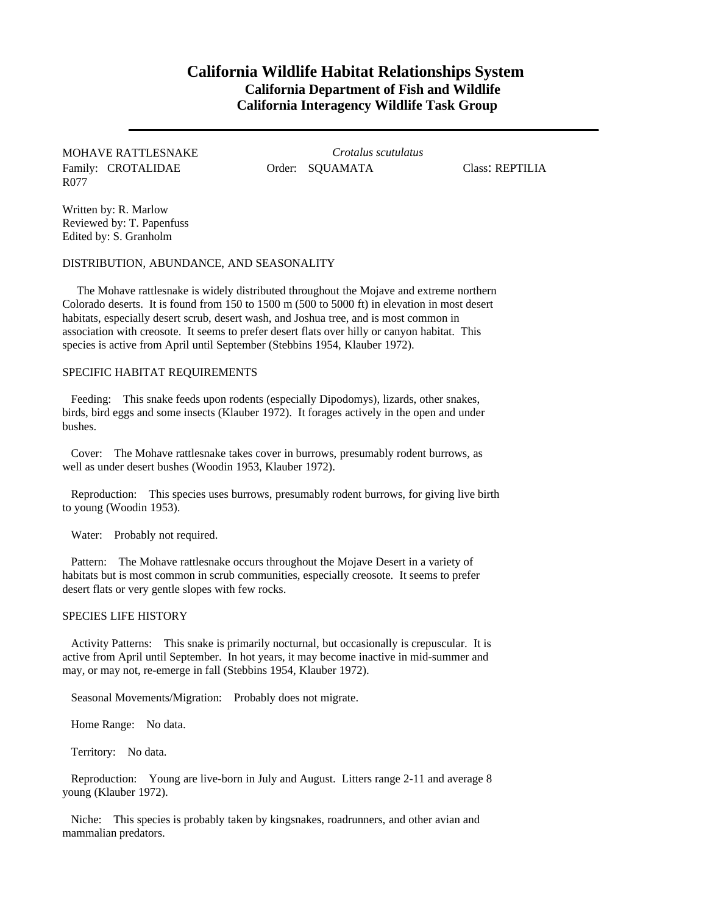## **California Wildlife Habitat Relationships System California Department of Fish and Wildlife California Interagency Wildlife Task Group**

MOHAVE RATTLESNAKE Family: CROTALIDAE R077

*Crotalus scutulatus* Order: SQUAMATA Class: REPTILIA

Written by: R. Marlow Reviewed by: T. Papenfuss Edited by: S. Granholm

DISTRIBUTION, ABUNDANCE, AND SEASONALITY

The Mohave rattlesnake is widely distributed throughout the Mojave and extreme northern Colorado deserts. It is found from 150 to 1500 m (500 to 5000 ft) in elevation in most desert habitats, especially desert scrub, desert wash, and Joshua tree, and is most common in association with creosote. It seems to prefer desert flats over hilly or canyon habitat. This species is active from April until September (Stebbins 1954, Klauber 1972).

## SPECIFIC HABITAT REQUIREMENTS

Feeding: This snake feeds upon rodents (especially Dipodomys), lizards, other snakes, birds, bird eggs and some insects (Klauber 1972). It forages actively in the open and under bushes.

Cover: The Mohave rattlesnake takes cover in burrows, presumably rodent burrows, as well as under desert bushes (Woodin 1953, Klauber 1972).

Reproduction: This species uses burrows, presumably rodent burrows, for giving live birth to young (Woodin 1953).

Water: Probably not required.

Pattern: The Mohave rattlesnake occurs throughout the Mojave Desert in a variety of habitats but is most common in scrub communities, especially creosote. It seems to prefer desert flats or very gentle slopes with few rocks.

## SPECIES LIFE HISTORY

Activity Patterns: This snake is primarily nocturnal, but occasionally is crepuscular. It is active from April until September. In hot years, it may become inactive in mid-summer and may, or may not, re-emerge in fall (Stebbins 1954, Klauber 1972).

Seasonal Movements/Migration: Probably does not migrate.

Home Range: No data.

Territory: No data.

Reproduction: Young are live-born in July and August. Litters range 2-11 and average 8 young (Klauber 1972).

Niche: This species is probably taken by kingsnakes, roadrunners, and other avian and mammalian predators.